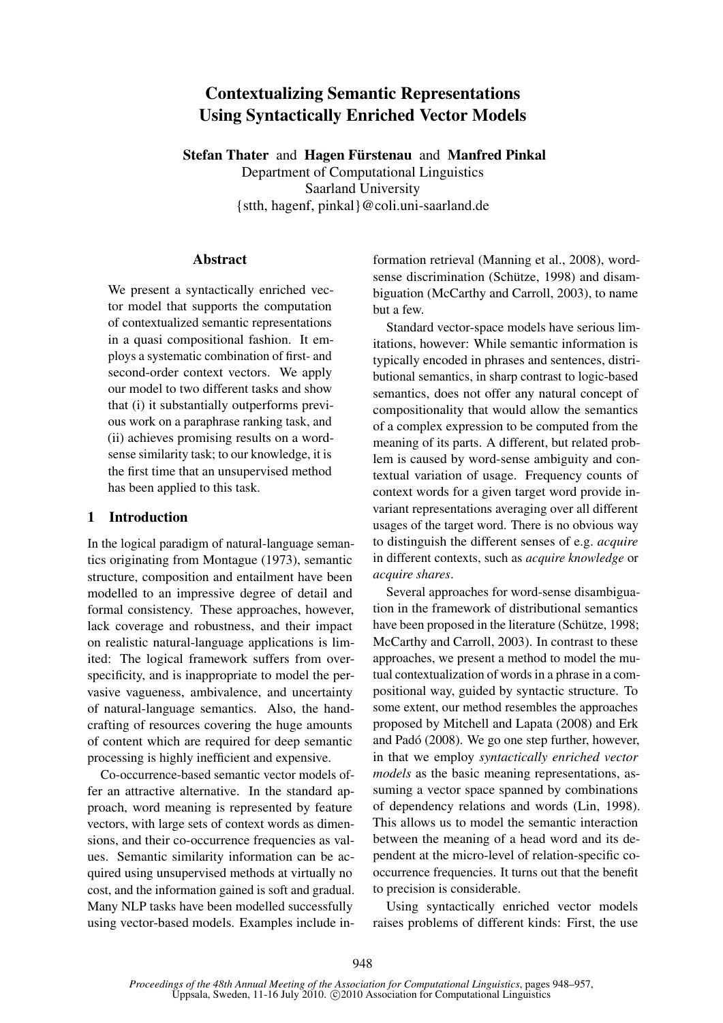# Contextualizing Semantic Representations Using Syntactically Enriched Vector Models

Stefan Thater and Hagen Fürstenau and Manfred Pinkal

Department of Computational Linguistics Saarland University {stth, hagenf, pinkal}@coli.uni-saarland.de

# Abstract

We present a syntactically enriched vector model that supports the computation of contextualized semantic representations in a quasi compositional fashion. It employs a systematic combination of first- and second-order context vectors. We apply our model to two different tasks and show that (i) it substantially outperforms previous work on a paraphrase ranking task, and (ii) achieves promising results on a wordsense similarity task; to our knowledge, it is the first time that an unsupervised method has been applied to this task.

# 1 Introduction

In the logical paradigm of natural-language semantics originating from Montague (1973), semantic structure, composition and entailment have been modelled to an impressive degree of detail and formal consistency. These approaches, however, lack coverage and robustness, and their impact on realistic natural-language applications is limited: The logical framework suffers from overspecificity, and is inappropriate to model the pervasive vagueness, ambivalence, and uncertainty of natural-language semantics. Also, the handcrafting of resources covering the huge amounts of content which are required for deep semantic processing is highly inefficient and expensive.

Co-occurrence-based semantic vector models offer an attractive alternative. In the standard approach, word meaning is represented by feature vectors, with large sets of context words as dimensions, and their co-occurrence frequencies as values. Semantic similarity information can be acquired using unsupervised methods at virtually no cost, and the information gained is soft and gradual. Many NLP tasks have been modelled successfully using vector-based models. Examples include in-

formation retrieval (Manning et al., 2008), wordsense discrimination (Schütze, 1998) and disambiguation (McCarthy and Carroll, 2003), to name but a few.

Standard vector-space models have serious limitations, however: While semantic information is typically encoded in phrases and sentences, distributional semantics, in sharp contrast to logic-based semantics, does not offer any natural concept of compositionality that would allow the semantics of a complex expression to be computed from the meaning of its parts. A different, but related problem is caused by word-sense ambiguity and contextual variation of usage. Frequency counts of context words for a given target word provide invariant representations averaging over all different usages of the target word. There is no obvious way to distinguish the different senses of e.g. *acquire* in different contexts, such as *acquire knowledge* or *acquire shares*.

Several approaches for word-sense disambiguation in the framework of distributional semantics have been proposed in the literature (Schütze, 1998; McCarthy and Carroll, 2003). In contrast to these approaches, we present a method to model the mutual contextualization of words in a phrase in a compositional way, guided by syntactic structure. To some extent, our method resembles the approaches proposed by Mitchell and Lapata (2008) and Erk and Padó (2008). We go one step further, however, in that we employ *syntactically enriched vector models* as the basic meaning representations, assuming a vector space spanned by combinations of dependency relations and words (Lin, 1998). This allows us to model the semantic interaction between the meaning of a head word and its dependent at the micro-level of relation-specific cooccurrence frequencies. It turns out that the benefit to precision is considerable.

Using syntactically enriched vector models raises problems of different kinds: First, the use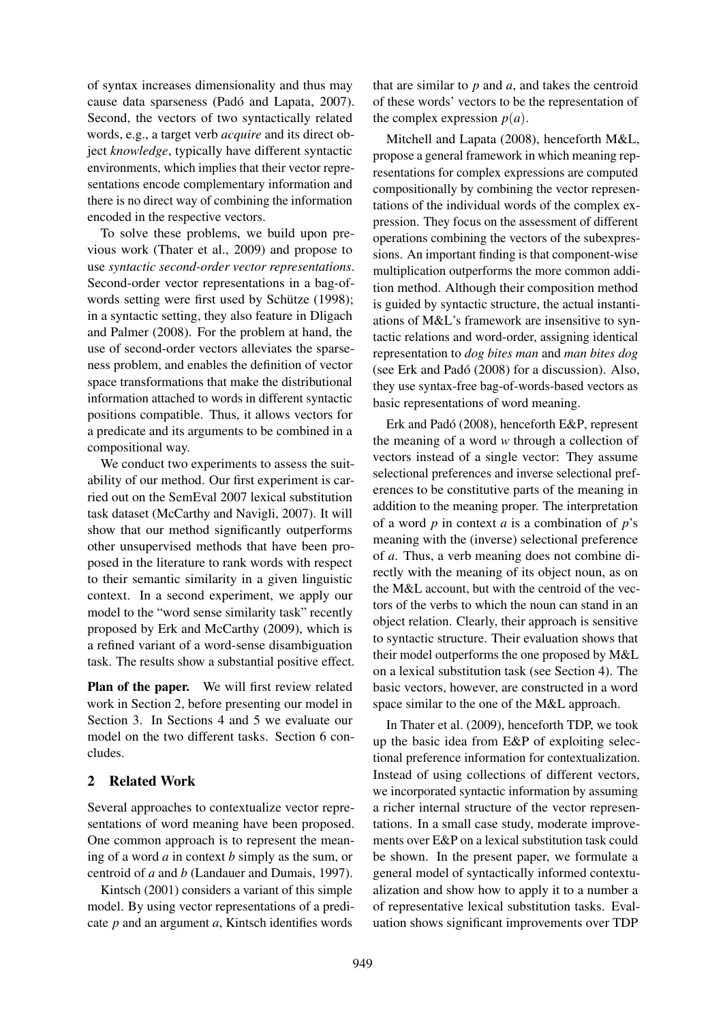of syntax increases dimensionality and thus may cause data sparseness (Padó and Lapata, 2007). Second, the vectors of two syntactically related words, e.g., a target verb *acquire* and its direct object *knowledge*, typically have different syntactic environments, which implies that their vector representations encode complementary information and there is no direct way of combining the information encoded in the respective vectors.

To solve these problems, we build upon previous work (Thater et al., 2009) and propose to use *syntactic second-order vector representations*. Second-order vector representations in a bag-ofwords setting were first used by Schütze (1998); in a syntactic setting, they also feature in Dligach and Palmer (2008). For the problem at hand, the use of second-order vectors alleviates the sparseness problem, and enables the definition of vector space transformations that make the distributional information attached to words in different syntactic positions compatible. Thus, it allows vectors for a predicate and its arguments to be combined in a compositional way.

We conduct two experiments to assess the suitability of our method. Our first experiment is carried out on the SemEval 2007 lexical substitution task dataset (McCarthy and Navigli, 2007). It will show that our method significantly outperforms other unsupervised methods that have been proposed in the literature to rank words with respect to their semantic similarity in a given linguistic context. In a second experiment, we apply our model to the "word sense similarity task" recently proposed by Erk and McCarthy (2009), which is a refined variant of a word-sense disambiguation task. The results show a substantial positive effect.

Plan of the paper. We will first review related work in Section 2, before presenting our model in Section 3. In Sections 4 and 5 we evaluate our model on the two different tasks. Section 6 concludes.

# 2 Related Work

Several approaches to contextualize vector representations of word meaning have been proposed. One common approach is to represent the meaning of a word *a* in context *b* simply as the sum, or centroid of *a* and *b* (Landauer and Dumais, 1997).

Kintsch (2001) considers a variant of this simple model. By using vector representations of a predicate *p* and an argument *a*, Kintsch identifies words that are similar to *p* and *a*, and takes the centroid of these words' vectors to be the representation of the complex expression  $p(a)$ .

Mitchell and Lapata (2008), henceforth M&L, propose a general framework in which meaning representations for complex expressions are computed compositionally by combining the vector representations of the individual words of the complex expression. They focus on the assessment of different operations combining the vectors of the subexpressions. An important finding is that component-wise multiplication outperforms the more common addition method. Although their composition method is guided by syntactic structure, the actual instantiations of M&L's framework are insensitive to syntactic relations and word-order, assigning identical representation to *dog bites man* and *man bites dog* (see Erk and Padó (2008) for a discussion). Also, they use syntax-free bag-of-words-based vectors as basic representations of word meaning.

Erk and Padó (2008), henceforth E&P, represent the meaning of a word *w* through a collection of vectors instead of a single vector: They assume selectional preferences and inverse selectional preferences to be constitutive parts of the meaning in addition to the meaning proper. The interpretation of a word *p* in context *a* is a combination of *p*'s meaning with the (inverse) selectional preference of *a*. Thus, a verb meaning does not combine directly with the meaning of its object noun, as on the M&L account, but with the centroid of the vectors of the verbs to which the noun can stand in an object relation. Clearly, their approach is sensitive to syntactic structure. Their evaluation shows that their model outperforms the one proposed by M&L on a lexical substitution task (see Section 4). The basic vectors, however, are constructed in a word space similar to the one of the M&L approach.

In Thater et al. (2009), henceforth TDP, we took up the basic idea from E&P of exploiting selectional preference information for contextualization. Instead of using collections of different vectors, we incorporated syntactic information by assuming a richer internal structure of the vector representations. In a small case study, moderate improvements over E&P on a lexical substitution task could be shown. In the present paper, we formulate a general model of syntactically informed contextualization and show how to apply it to a number a of representative lexical substitution tasks. Evaluation shows significant improvements over TDP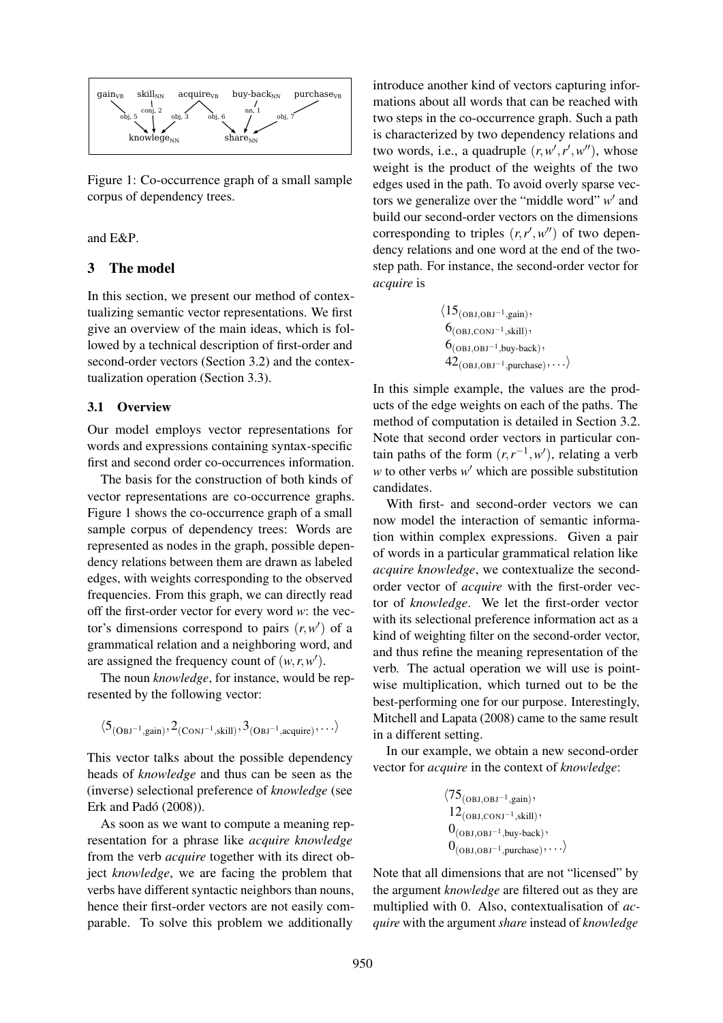

Figure 1: Co-occurrence graph of a small sample corpus of dependency trees.

## and E&P.

## 3 The model

In this section, we present our method of contextualizing semantic vector representations. We first give an overview of the main ideas, which is followed by a technical description of first-order and second-order vectors (Section 3.2) and the contextualization operation (Section 3.3).

#### 3.1 Overview

Our model employs vector representations for words and expressions containing syntax-specific first and second order co-occurrences information.

The basis for the construction of both kinds of vector representations are co-occurrence graphs. Figure 1 shows the co-occurrence graph of a small sample corpus of dependency trees: Words are represented as nodes in the graph, possible dependency relations between them are drawn as labeled edges, with weights corresponding to the observed frequencies. From this graph, we can directly read off the first-order vector for every word *w*: the vector's dimensions correspond to pairs  $(r, w')$  of a grammatical relation and a neighboring word, and are assigned the frequency count of  $(w, r, w')$ .

The noun *knowledge*, for instance, would be represented by the following vector:

$$
\langle 5_{\rm (OBJ^{-1},gain)}, 2_{\rm (CONJ^{-1},skill)}, 3_{\rm (OBJ^{-1},acquire)}, \ldots \rangle
$$

This vector talks about the possible dependency heads of *knowledge* and thus can be seen as the (inverse) selectional preference of *knowledge* (see Erk and Padó (2008)).

As soon as we want to compute a meaning representation for a phrase like *acquire knowledge* from the verb *acquire* together with its direct object *knowledge*, we are facing the problem that verbs have different syntactic neighbors than nouns, hence their first-order vectors are not easily comparable. To solve this problem we additionally

introduce another kind of vectors capturing informations about all words that can be reached with two steps in the co-occurrence graph. Such a path is characterized by two dependency relations and two words, i.e., a quadruple  $(r, w', r', w'')$ , whose weight is the product of the weights of the two edges used in the path. To avoid overly sparse vectors we generalize over the "middle word" w' and build our second-order vectors on the dimensions corresponding to triples  $(r, r', w'')$  of two dependency relations and one word at the end of the twostep path. For instance, the second-order vector for *acquire* is

$$
\langle 15_{(OBJ,OBJ^{-1}, gain)},6_{(OBJ, CONJ^{-1}, skill)},6_{(OBJ,OBJ^{-1}, buy-back)},42_{(OBJ,OBJ^{-1}, purchase)},... \rangle
$$

In this simple example, the values are the products of the edge weights on each of the paths. The method of computation is detailed in Section 3.2. Note that second order vectors in particular contain paths of the form  $(r, r^{-1}, w')$ , relating a verb  $w$  to other verbs  $w'$  which are possible substitution candidates.

With first- and second-order vectors we can now model the interaction of semantic information within complex expressions. Given a pair of words in a particular grammatical relation like *acquire knowledge*, we contextualize the secondorder vector of *acquire* with the first-order vector of *knowledge*. We let the first-order vector with its selectional preference information act as a kind of weighting filter on the second-order vector, and thus refine the meaning representation of the verb. The actual operation we will use is pointwise multiplication, which turned out to be the best-performing one for our purpose. Interestingly, Mitchell and Lapata (2008) came to the same result in a different setting.

In our example, we obtain a new second-order vector for *acquire* in the context of *knowledge*:

$$
\langle 75_{(OBJ,OBJ^{-1}, gain)},12_{(OBJ,CONJ^{-1}, skill)},0_{(OBJ,OBJ^{-1}, buy-back)},0_{(OBJ,OBJ^{-1}, purchase)},... \rangle
$$

Note that all dimensions that are not "licensed" by the argument *knowledge* are filtered out as they are multiplied with 0. Also, contextualisation of *acquire* with the argument *share* instead of *knowledge*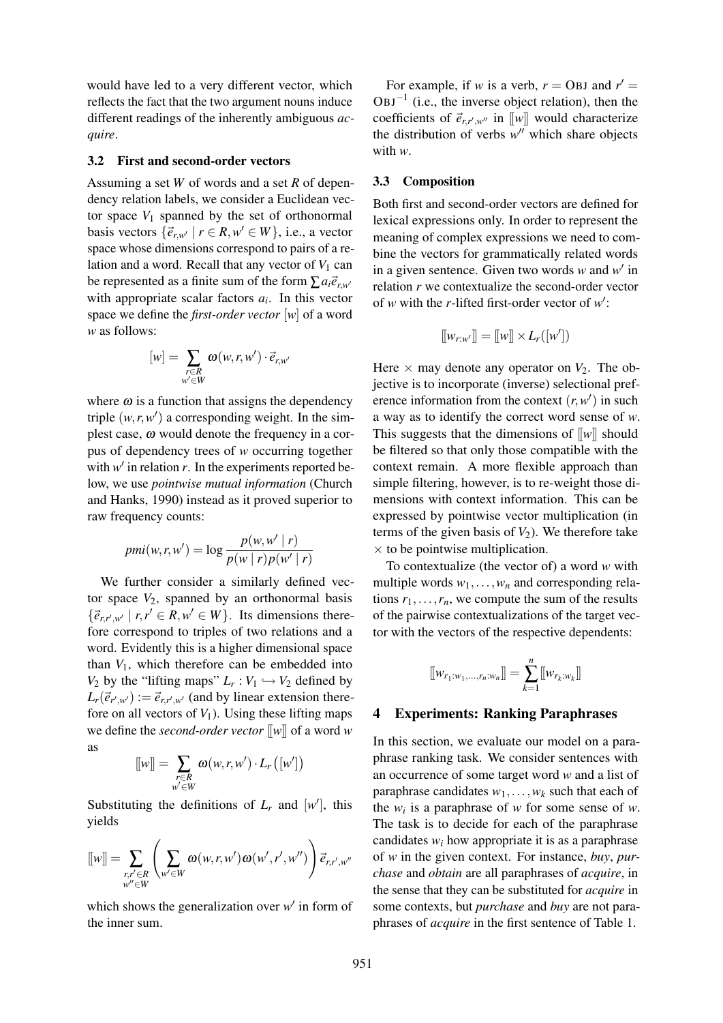would have led to a very different vector, which reflects the fact that the two argument nouns induce different readings of the inherently ambiguous *acquire*.

#### 3.2 First and second-order vectors

Assuming a set *W* of words and a set *R* of dependency relation labels, we consider a Euclidean vector space  $V_1$  spanned by the set of orthonormal basis vectors  $\{\vec{e}_{r,w'} | r \in R, w' \in W\}$ , i.e., a vector space whose dimensions correspond to pairs of a relation and a word. Recall that any vector of  $V_1$  can be represented as a finite sum of the form  $\sum a_i \vec{e}_{r,w'}$ with appropriate scalar factors  $a_i$ . In this vector space we define the *first-order vector* [*w*] of a word *w* as follows:

$$
[w] = \sum_{\substack{r \in R \\ w' \in W}} \omega(w, r, w') \cdot \vec{e}_{r, w'}
$$

where  $\omega$  is a function that assigns the dependency triple  $(w, r, w')$  a corresponding weight. In the simplest case,  $\omega$  would denote the frequency in a corpus of dependency trees of *w* occurring together with  $w'$  in relation  $r$ . In the experiments reported below, we use *pointwise mutual information* (Church and Hanks, 1990) instead as it proved superior to raw frequency counts:

$$
pmi(w,r,w') = \log \frac{p(w,w' | r)}{p(w | r)p(w' | r)}
$$

We further consider a similarly defined vector space  $V_2$ , spanned by an orthonormal basis  $\{\vec{e}_{r,r',w'} \mid r, r' \in R, w' \in W\}$ . Its dimensions therefore correspond to triples of two relations and a word. Evidently this is a higher dimensional space than  $V_1$ , which therefore can be embedded into *V*<sub>2</sub> by the "lifting maps"  $L_r: V_1 \hookrightarrow V_2$  defined by  $L_r(\vec{e}_{r',w'}) := \vec{e}_{r,r',w'}$  (and by linear extension therefore on all vectors of  $V_1$ ). Using these lifting maps we define the *second-order vector* [[*w*]] of a word *w* as

$$
\llbracket w \rrbracket = \sum_{\substack{r \in R \\ w' \in W}} \omega(w, r, w') \cdot L_r(\llbracket w' \rrbracket)
$$

Substituting the definitions of  $L_r$  and  $[w']$ , this yields

$$
\llbracket w \rrbracket = \sum_{\substack{r,r' \in R \\ w'' \in W}} \left( \sum_{w' \in W} \omega(w,r,w') \omega(w',r',w'') \right) \vec{e}_{r,r',w''}
$$

which shows the generalization over  $w'$  in form of the inner sum.

For example, if *w* is a verb,  $r =$  OBJ and  $r' =$  $OBJ^{-1}$  (i.e., the inverse object relation), then the coefficients of  $\vec{e}_{r,r',w''}$  in [[w]] would characterize the distribution of verbs  $w''$  which share objects with *w*.

#### 3.3 Composition

Both first and second-order vectors are defined for lexical expressions only. In order to represent the meaning of complex expressions we need to combine the vectors for grammatically related words in a given sentence. Given two words  $w$  and  $w'$  in relation *r* we contextualize the second-order vector of *w* with the *r*-lifted first-order vector of  $w'$ :

$$
[[w_{r:w'}]] = [[w]] \times L_r([w'])
$$

Here  $\times$  may denote any operator on  $V_2$ . The objective is to incorporate (inverse) selectional preference information from the context  $(r, w')$  in such a way as to identify the correct word sense of *w*. This suggests that the dimensions of  $\llbracket w \rrbracket$  should be filtered so that only those compatible with the context remain. A more flexible approach than simple filtering, however, is to re-weight those dimensions with context information. This can be expressed by pointwise vector multiplication (in terms of the given basis of  $V_2$ ). We therefore take  $\times$  to be pointwise multiplication.

To contextualize (the vector of) a word *w* with multiple words  $w_1, \ldots, w_n$  and corresponding relations  $r_1, \ldots, r_n$ , we compute the sum of the results of the pairwise contextualizations of the target vector with the vectors of the respective dependents:

$$
[\![w_{r_1:w_1,\ldots,r_n:w_n}]\!]=\sum_{k=1}^n[\![w_{r_k:w_k}]\!]
$$

#### 4 Experiments: Ranking Paraphrases

In this section, we evaluate our model on a paraphrase ranking task. We consider sentences with an occurrence of some target word *w* and a list of paraphrase candidates  $w_1, \ldots, w_k$  such that each of the  $w_i$  is a paraphrase of  $w$  for some sense of  $w$ . The task is to decide for each of the paraphrase candidates  $w_i$  how appropriate it is as a paraphrase of *w* in the given context. For instance, *buy*, *purchase* and *obtain* are all paraphrases of *acquire*, in the sense that they can be substituted for *acquire* in some contexts, but *purchase* and *buy* are not paraphrases of *acquire* in the first sentence of Table 1.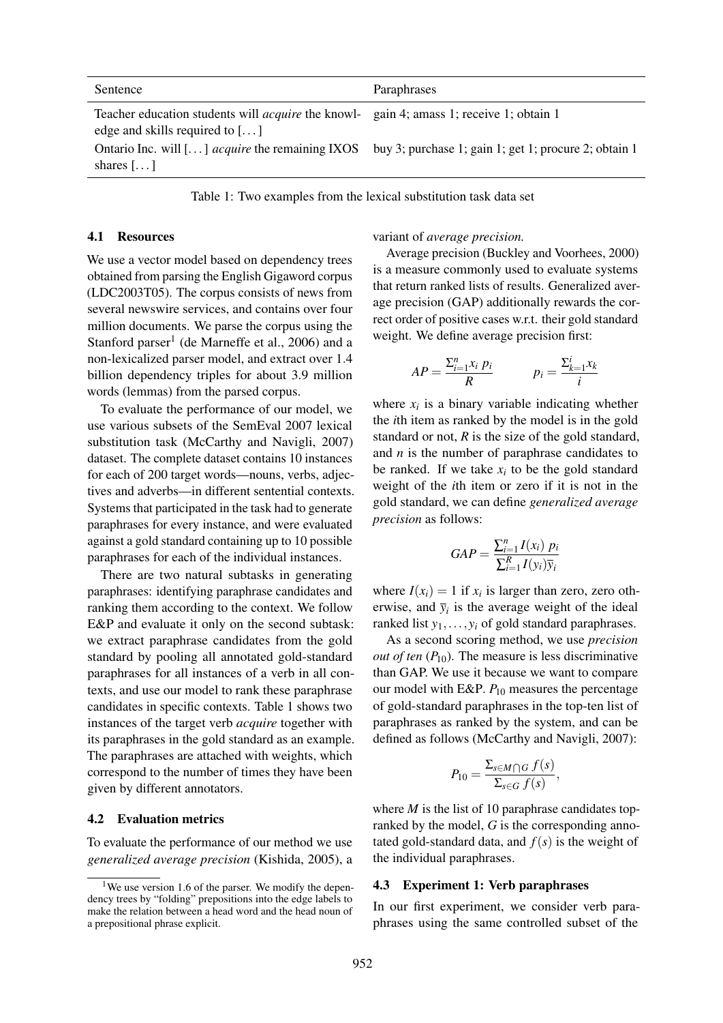| Sentence                                                                                                                                | Paraphrases                                           |
|-----------------------------------------------------------------------------------------------------------------------------------------|-------------------------------------------------------|
| Teacher education students will <i>acquire</i> the knowl- gain 4; amass 1; receive 1; obtain 1<br>edge and skills required to $[\dots]$ |                                                       |
| Ontario Inc. will [ $\ldots$ ] <i>acquire</i> the remaining IXOS<br>shares $[\dots]$                                                    | buy 3; purchase 1; gain 1; get 1; procure 2; obtain 1 |

Table 1: Two examples from the lexical substitution task data set

#### 4.1 Resources

We use a vector model based on dependency trees obtained from parsing the English Gigaword corpus (LDC2003T05). The corpus consists of news from several newswire services, and contains over four million documents. We parse the corpus using the Stanford parser<sup>1</sup> (de Marneffe et al., 2006) and a non-lexicalized parser model, and extract over 1.4 billion dependency triples for about 3.9 million words (lemmas) from the parsed corpus.

To evaluate the performance of our model, we use various subsets of the SemEval 2007 lexical substitution task (McCarthy and Navigli, 2007) dataset. The complete dataset contains 10 instances for each of 200 target words—nouns, verbs, adjectives and adverbs—in different sentential contexts. Systems that participated in the task had to generate paraphrases for every instance, and were evaluated against a gold standard containing up to 10 possible paraphrases for each of the individual instances.

There are two natural subtasks in generating paraphrases: identifying paraphrase candidates and ranking them according to the context. We follow E&P and evaluate it only on the second subtask: we extract paraphrase candidates from the gold standard by pooling all annotated gold-standard paraphrases for all instances of a verb in all contexts, and use our model to rank these paraphrase candidates in specific contexts. Table 1 shows two instances of the target verb *acquire* together with its paraphrases in the gold standard as an example. The paraphrases are attached with weights, which correspond to the number of times they have been given by different annotators.

### 4.2 Evaluation metrics

To evaluate the performance of our method we use *generalized average precision* (Kishida, 2005), a

variant of *average precision.*

Average precision (Buckley and Voorhees, 2000) is a measure commonly used to evaluate systems that return ranked lists of results. Generalized average precision (GAP) additionally rewards the correct order of positive cases w.r.t. their gold standard weight. We define average precision first:

$$
AP = \frac{\sum_{i=1}^{n} x_i p_i}{R} \qquad p_i = \frac{\sum_{k=1}^{i} x_k}{i}
$$

where  $x_i$  is a binary variable indicating whether the *i*th item as ranked by the model is in the gold standard or not, *R* is the size of the gold standard, and *n* is the number of paraphrase candidates to be ranked. If we take  $x_i$  to be the gold standard weight of the *i*th item or zero if it is not in the gold standard, we can define *generalized average precision* as follows:

$$
GAP = \frac{\sum_{i=1}^{n} I(x_i) p_i}{\sum_{i=1}^{R} I(y_i) \overline{y}_i}
$$

where  $I(x_i) = 1$  if  $x_i$  is larger than zero, zero otherwise, and  $\bar{y}_i$  is the average weight of the ideal ranked list *y*1,..., *y<sup>i</sup>* of gold standard paraphrases.

As a second scoring method, we use *precision out of ten*  $(P_{10})$ . The measure is less discriminative than GAP. We use it because we want to compare our model with E&P.  $P_{10}$  measures the percentage of gold-standard paraphrases in the top-ten list of paraphrases as ranked by the system, and can be defined as follows (McCarthy and Navigli, 2007):

$$
P_{10} = \frac{\Sigma_{s \in M \cap G} f(s)}{\Sigma_{s \in G} f(s)},
$$

where  $M$  is the list of 10 paraphrase candidates topranked by the model, *G* is the corresponding annotated gold-standard data, and  $f(s)$  is the weight of the individual paraphrases.

#### 4.3 Experiment 1: Verb paraphrases

In our first experiment, we consider verb paraphrases using the same controlled subset of the

<sup>&</sup>lt;sup>1</sup>We use version 1.6 of the parser. We modify the dependency trees by "folding" prepositions into the edge labels to make the relation between a head word and the head noun of a prepositional phrase explicit.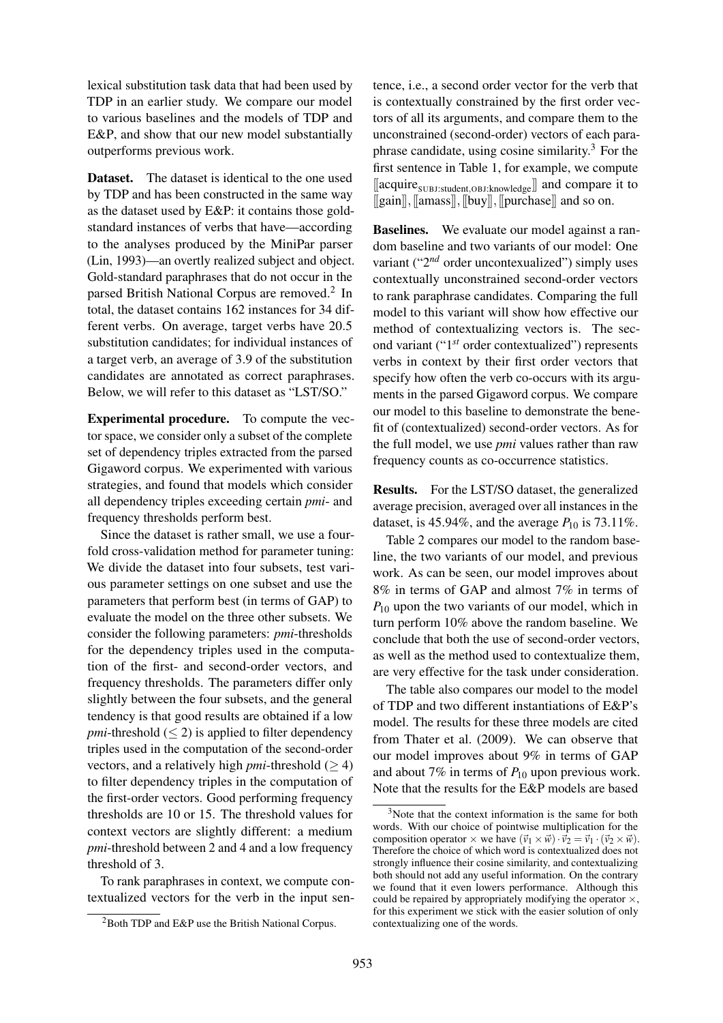lexical substitution task data that had been used by TDP in an earlier study. We compare our model to various baselines and the models of TDP and E&P, and show that our new model substantially outperforms previous work.

Dataset. The dataset is identical to the one used by TDP and has been constructed in the same way as the dataset used by E&P: it contains those goldstandard instances of verbs that have—according to the analyses produced by the MiniPar parser (Lin, 1993)—an overtly realized subject and object. Gold-standard paraphrases that do not occur in the parsed British National Corpus are removed.<sup>2</sup> In total, the dataset contains 162 instances for 34 different verbs. On average, target verbs have 20.5 substitution candidates; for individual instances of a target verb, an average of 3.9 of the substitution candidates are annotated as correct paraphrases. Below, we will refer to this dataset as "LST/SO."

Experimental procedure. To compute the vector space, we consider only a subset of the complete set of dependency triples extracted from the parsed Gigaword corpus. We experimented with various strategies, and found that models which consider all dependency triples exceeding certain *pmi*- and frequency thresholds perform best.

Since the dataset is rather small, we use a fourfold cross-validation method for parameter tuning: We divide the dataset into four subsets, test various parameter settings on one subset and use the parameters that perform best (in terms of GAP) to evaluate the model on the three other subsets. We consider the following parameters: *pmi*-thresholds for the dependency triples used in the computation of the first- and second-order vectors, and frequency thresholds. The parameters differ only slightly between the four subsets, and the general tendency is that good results are obtained if a low *pmi*-threshold  $(\leq 2)$  is applied to filter dependency triples used in the computation of the second-order vectors, and a relatively high *pmi*-threshold  $(>4)$ to filter dependency triples in the computation of the first-order vectors. Good performing frequency thresholds are 10 or 15. The threshold values for context vectors are slightly different: a medium *pmi*-threshold between 2 and 4 and a low frequency threshold of 3.

To rank paraphrases in context, we compute contextualized vectors for the verb in the input sentence, i.e., a second order vector for the verb that is contextually constrained by the first order vectors of all its arguments, and compare them to the unconstrained (second-order) vectors of each paraphrase candidate, using cosine similarity. $3$  For the first sentence in Table 1, for example, we compute  $[\![\text{acquire}_\text{SUBJ:student,OBJ:knowledge}]\!]$  and compare it to [[gain]],[[amass]],[[buy]],[[purchase]] and so on.

Baselines. We evaluate our model against a random baseline and two variants of our model: One variant ("2<sup>nd</sup> order uncontexualized") simply uses contextually unconstrained second-order vectors to rank paraphrase candidates. Comparing the full model to this variant will show how effective our method of contextualizing vectors is. The second variant ("1 *st* order contextualized") represents verbs in context by their first order vectors that specify how often the verb co-occurs with its arguments in the parsed Gigaword corpus. We compare our model to this baseline to demonstrate the benefit of (contextualized) second-order vectors. As for the full model, we use *pmi* values rather than raw frequency counts as co-occurrence statistics.

Results. For the LST/SO dataset, the generalized average precision, averaged over all instances in the dataset, is 45.94%, and the average  $P_{10}$  is 73.11%.

Table 2 compares our model to the random baseline, the two variants of our model, and previous work. As can be seen, our model improves about 8% in terms of GAP and almost 7% in terms of *P*<sub>10</sub> upon the two variants of our model, which in turn perform 10% above the random baseline. We conclude that both the use of second-order vectors, as well as the method used to contextualize them, are very effective for the task under consideration.

The table also compares our model to the model of TDP and two different instantiations of E&P's model. The results for these three models are cited from Thater et al. (2009). We can observe that our model improves about 9% in terms of GAP and about 7% in terms of  $P_{10}$  upon previous work. Note that the results for the E&P models are based

<sup>2</sup>Both TDP and E&P use the British National Corpus.

<sup>3</sup>Note that the context information is the same for both words. With our choice of pointwise multiplication for the composition operator  $\times$  we have  $(\vec{v}_1 \times \vec{w}) \cdot \vec{v}_2 = \vec{v}_1 \cdot (\vec{v}_2 \times \vec{w})$ . Therefore the choice of which word is contextualized does not strongly influence their cosine similarity, and contextualizing both should not add any useful information. On the contrary we found that it even lowers performance. Although this could be repaired by appropriately modifying the operator  $\times$ , for this experiment we stick with the easier solution of only contextualizing one of the words.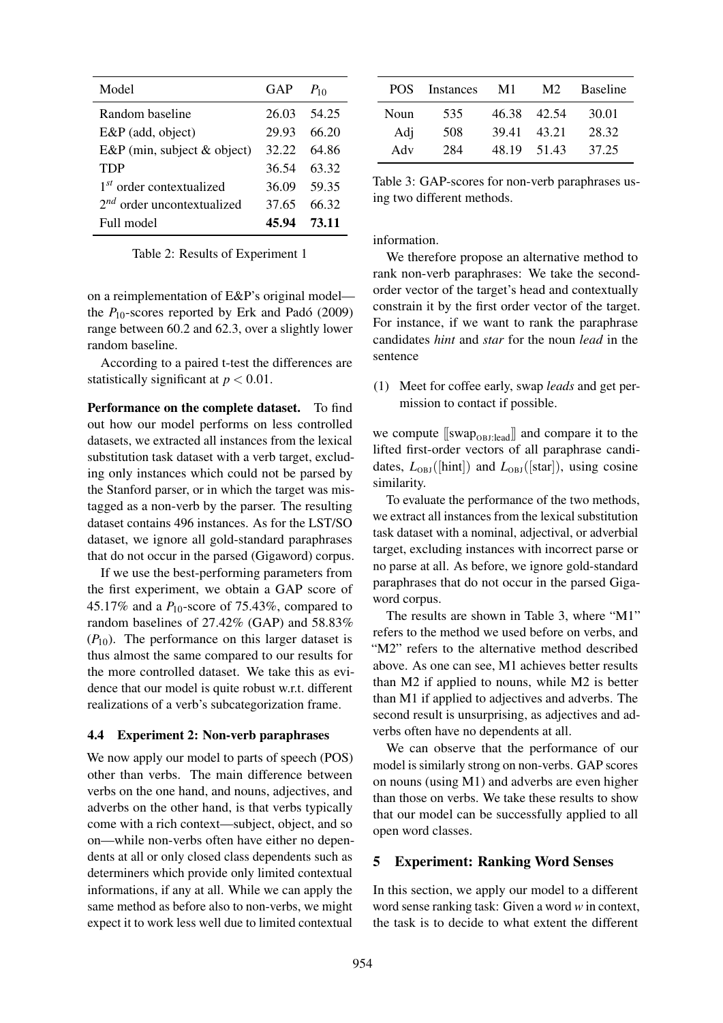| Model                                | GAP   | $P_{10}$ |
|--------------------------------------|-------|----------|
| Random baseline                      | 26.03 | 54.25    |
| E&P (add, object)                    | 29.93 | 66.20    |
| $E\&P$ (min, subject $\&$ object)    | 32.22 | 64.86    |
| <b>TDP</b>                           | 36.54 | 63.32    |
| 1 <sup>st</sup> order contextualized | 36.09 | 59.35    |
| $2^{nd}$ order uncontextualized      | 37.65 | 66.32    |
| Full model                           | 45.94 | 73.11    |

Table 2: Results of Experiment 1

on a reimplementation of E&P's original model the  $P_{10}$ -scores reported by Erk and Padó (2009) range between 60.2 and 62.3, over a slightly lower random baseline.

According to a paired t-test the differences are statistically significant at  $p < 0.01$ .

Performance on the complete dataset. To find out how our model performs on less controlled datasets, we extracted all instances from the lexical substitution task dataset with a verb target, excluding only instances which could not be parsed by the Stanford parser, or in which the target was mistagged as a non-verb by the parser. The resulting dataset contains 496 instances. As for the LST/SO dataset, we ignore all gold-standard paraphrases that do not occur in the parsed (Gigaword) corpus.

If we use the best-performing parameters from the first experiment, we obtain a GAP score of 45.17% and a *P*10-score of 75.43%, compared to random baselines of 27.42% (GAP) and 58.83%  $(P_{10})$ . The performance on this larger dataset is thus almost the same compared to our results for the more controlled dataset. We take this as evidence that our model is quite robust w.r.t. different realizations of a verb's subcategorization frame.

#### 4.4 Experiment 2: Non-verb paraphrases

We now apply our model to parts of speech (POS) other than verbs. The main difference between verbs on the one hand, and nouns, adjectives, and adverbs on the other hand, is that verbs typically come with a rich context—subject, object, and so on—while non-verbs often have either no dependents at all or only closed class dependents such as determiners which provide only limited contextual informations, if any at all. While we can apply the same method as before also to non-verbs, we might expect it to work less well due to limited contextual

| POS. | <b>Instances</b> | M1    | M <sub>2</sub> | <b>Baseline</b> |
|------|------------------|-------|----------------|-----------------|
| Noun | 535              | 46.38 | 42.54          | 30.01           |
| Adj  | 508              | 39.41 | 43.21          | 28.32           |
| Adv  | 284              | 48.19 | 51.43          | 37.25           |

Table 3: GAP-scores for non-verb paraphrases using two different methods.

information.

We therefore propose an alternative method to rank non-verb paraphrases: We take the secondorder vector of the target's head and contextually constrain it by the first order vector of the target. For instance, if we want to rank the paraphrase candidates *hint* and *star* for the noun *lead* in the sentence

(1) Meet for coffee early, swap *leads* and get permission to contact if possible.

we compute  $[\text{swap}_{\text{OBI:lead}}]$  and compare it to the lifted first-order vectors of all paraphrase candidates,  $L_{OBJ}(\text{[hint]})$  and  $L_{OBJ}(\text{[star]})$ , using cosine similarity.

To evaluate the performance of the two methods, we extract all instances from the lexical substitution task dataset with a nominal, adjectival, or adverbial target, excluding instances with incorrect parse or no parse at all. As before, we ignore gold-standard paraphrases that do not occur in the parsed Gigaword corpus.

The results are shown in Table 3, where "M1" refers to the method we used before on verbs, and "M2" refers to the alternative method described above. As one can see, M1 achieves better results than M2 if applied to nouns, while M2 is better than M1 if applied to adjectives and adverbs. The second result is unsurprising, as adjectives and adverbs often have no dependents at all.

We can observe that the performance of our model is similarly strong on non-verbs. GAP scores on nouns (using M1) and adverbs are even higher than those on verbs. We take these results to show that our model can be successfully applied to all open word classes.

#### 5 Experiment: Ranking Word Senses

In this section, we apply our model to a different word sense ranking task: Given a word *w* in context, the task is to decide to what extent the different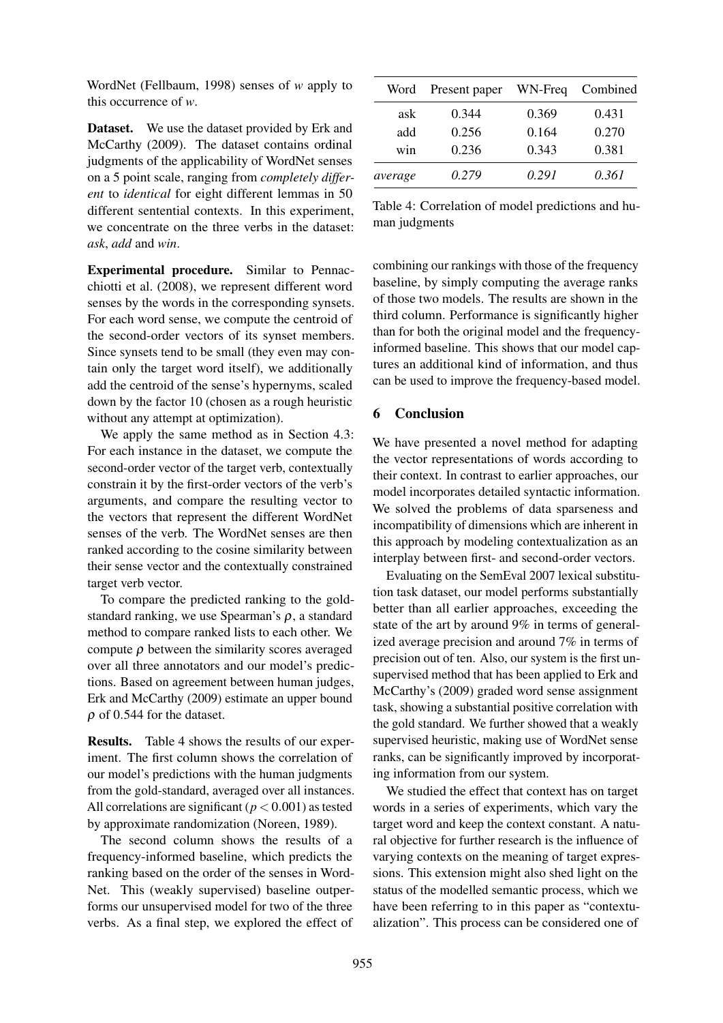WordNet (Fellbaum, 1998) senses of *w* apply to this occurrence of *w*.

Dataset. We use the dataset provided by Erk and McCarthy (2009). The dataset contains ordinal judgments of the applicability of WordNet senses on a 5 point scale, ranging from *completely different* to *identical* for eight different lemmas in 50 different sentential contexts. In this experiment, we concentrate on the three verbs in the dataset: *ask*, *add* and *win*.

Experimental procedure. Similar to Pennacchiotti et al. (2008), we represent different word senses by the words in the corresponding synsets. For each word sense, we compute the centroid of the second-order vectors of its synset members. Since synsets tend to be small (they even may contain only the target word itself), we additionally add the centroid of the sense's hypernyms, scaled down by the factor 10 (chosen as a rough heuristic without any attempt at optimization).

We apply the same method as in Section 4.3: For each instance in the dataset, we compute the second-order vector of the target verb, contextually constrain it by the first-order vectors of the verb's arguments, and compare the resulting vector to the vectors that represent the different WordNet senses of the verb. The WordNet senses are then ranked according to the cosine similarity between their sense vector and the contextually constrained target verb vector.

To compare the predicted ranking to the goldstandard ranking, we use Spearman's  $\rho$ , a standard method to compare ranked lists to each other. We compute  $\rho$  between the similarity scores averaged over all three annotators and our model's predictions. Based on agreement between human judges, Erk and McCarthy (2009) estimate an upper bound  $\rho$  of 0.544 for the dataset.

Results. Table 4 shows the results of our experiment. The first column shows the correlation of our model's predictions with the human judgments from the gold-standard, averaged over all instances. All correlations are significant  $(p < 0.001)$  as tested by approximate randomization (Noreen, 1989).

The second column shows the results of a frequency-informed baseline, which predicts the ranking based on the order of the senses in Word-Net. This (weakly supervised) baseline outperforms our unsupervised model for two of the three verbs. As a final step, we explored the effect of

| Word    | Present paper | WN-Freq | Combined |
|---------|---------------|---------|----------|
| ask     | 0.344         | 0.369   | 0.431    |
| add     | 0.256         | 0.164   | 0.270    |
| win     | 0.236         | 0.343   | 0.381    |
| average | 0.279         | 0.291   | 0.361    |

Table 4: Correlation of model predictions and human judgments

combining our rankings with those of the frequency baseline, by simply computing the average ranks of those two models. The results are shown in the third column. Performance is significantly higher than for both the original model and the frequencyinformed baseline. This shows that our model captures an additional kind of information, and thus can be used to improve the frequency-based model.

# 6 Conclusion

We have presented a novel method for adapting the vector representations of words according to their context. In contrast to earlier approaches, our model incorporates detailed syntactic information. We solved the problems of data sparseness and incompatibility of dimensions which are inherent in this approach by modeling contextualization as an interplay between first- and second-order vectors.

Evaluating on the SemEval 2007 lexical substitution task dataset, our model performs substantially better than all earlier approaches, exceeding the state of the art by around 9% in terms of generalized average precision and around 7% in terms of precision out of ten. Also, our system is the first unsupervised method that has been applied to Erk and McCarthy's (2009) graded word sense assignment task, showing a substantial positive correlation with the gold standard. We further showed that a weakly supervised heuristic, making use of WordNet sense ranks, can be significantly improved by incorporating information from our system.

We studied the effect that context has on target words in a series of experiments, which vary the target word and keep the context constant. A natural objective for further research is the influence of varying contexts on the meaning of target expressions. This extension might also shed light on the status of the modelled semantic process, which we have been referring to in this paper as "contextualization". This process can be considered one of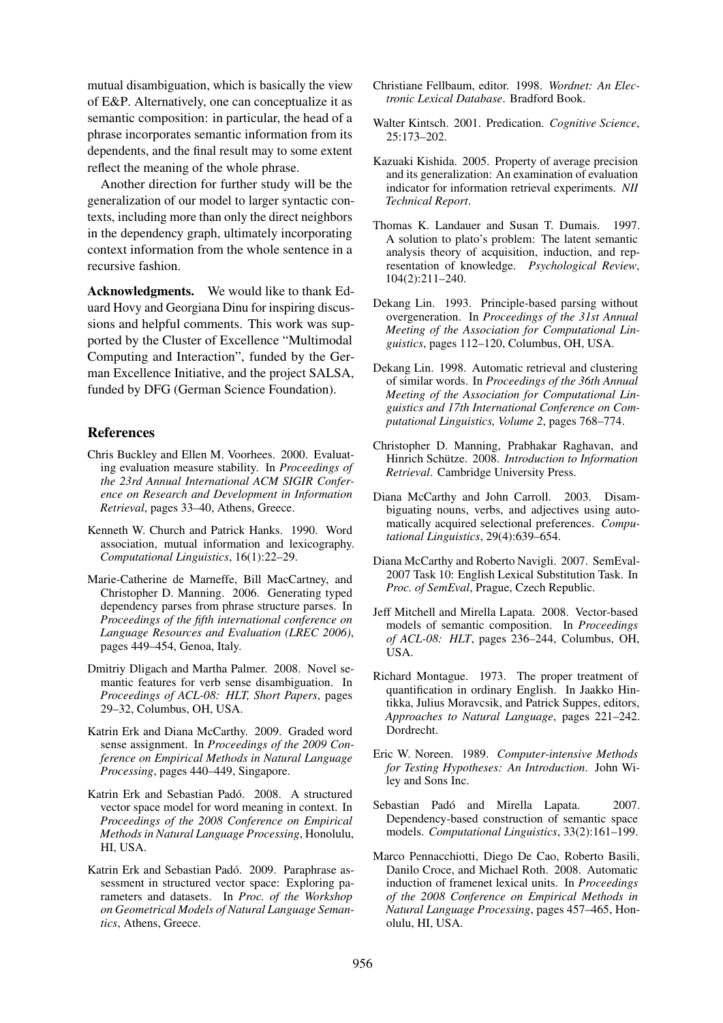mutual disambiguation, which is basically the view of E&P. Alternatively, one can conceptualize it as semantic composition: in particular, the head of a phrase incorporates semantic information from its dependents, and the final result may to some extent reflect the meaning of the whole phrase.

Another direction for further study will be the generalization of our model to larger syntactic contexts, including more than only the direct neighbors in the dependency graph, ultimately incorporating context information from the whole sentence in a recursive fashion.

Acknowledgments. We would like to thank Eduard Hovy and Georgiana Dinu for inspiring discussions and helpful comments. This work was supported by the Cluster of Excellence "Multimodal Computing and Interaction", funded by the German Excellence Initiative, and the project SALSA, funded by DFG (German Science Foundation).

# References

- Chris Buckley and Ellen M. Voorhees. 2000. Evaluating evaluation measure stability. In *Proceedings of the 23rd Annual International ACM SIGIR Conference on Research and Development in Information Retrieval*, pages 33–40, Athens, Greece.
- Kenneth W. Church and Patrick Hanks. 1990. Word association, mutual information and lexicography. *Computational Linguistics*, 16(1):22–29.
- Marie-Catherine de Marneffe, Bill MacCartney, and Christopher D. Manning. 2006. Generating typed dependency parses from phrase structure parses. In *Proceedings of the fifth international conference on Language Resources and Evaluation (LREC 2006)*, pages 449–454, Genoa, Italy.
- Dmitriy Dligach and Martha Palmer. 2008. Novel semantic features for verb sense disambiguation. In *Proceedings of ACL-08: HLT, Short Papers*, pages 29–32, Columbus, OH, USA.
- Katrin Erk and Diana McCarthy. 2009. Graded word sense assignment. In *Proceedings of the 2009 Conference on Empirical Methods in Natural Language Processing*, pages 440–449, Singapore.
- Katrin Erk and Sebastian Padó. 2008. A structured vector space model for word meaning in context. In *Proceedings of the 2008 Conference on Empirical Methods in Natural Language Processing*, Honolulu, HI, USA.
- Katrin Erk and Sebastian Padó. 2009. Paraphrase assessment in structured vector space: Exploring parameters and datasets. In *Proc. of the Workshop on Geometrical Models of Natural Language Semantics*, Athens, Greece.
- Christiane Fellbaum, editor. 1998. *Wordnet: An Electronic Lexical Database*. Bradford Book.
- Walter Kintsch. 2001. Predication. *Cognitive Science*, 25:173–202.
- Kazuaki Kishida. 2005. Property of average precision and its generalization: An examination of evaluation indicator for information retrieval experiments. *NII Technical Report*.
- Thomas K. Landauer and Susan T. Dumais. 1997. A solution to plato's problem: The latent semantic analysis theory of acquisition, induction, and representation of knowledge. *Psychological Review*, 104(2):211–240.
- Dekang Lin. 1993. Principle-based parsing without overgeneration. In *Proceedings of the 31st Annual Meeting of the Association for Computational Linguistics*, pages 112–120, Columbus, OH, USA.
- Dekang Lin. 1998. Automatic retrieval and clustering of similar words. In *Proceedings of the 36th Annual Meeting of the Association for Computational Linguistics and 17th International Conference on Computational Linguistics, Volume 2*, pages 768–774.
- Christopher D. Manning, Prabhakar Raghavan, and Hinrich Schütze. 2008. *Introduction to Information Retrieval*. Cambridge University Press.
- Diana McCarthy and John Carroll. 2003. Disambiguating nouns, verbs, and adjectives using automatically acquired selectional preferences. *Computational Linguistics*, 29(4):639–654.
- Diana McCarthy and Roberto Navigli. 2007. SemEval-2007 Task 10: English Lexical Substitution Task. In *Proc. of SemEval*, Prague, Czech Republic.
- Jeff Mitchell and Mirella Lapata. 2008. Vector-based models of semantic composition. In *Proceedings of ACL-08: HLT*, pages 236–244, Columbus, OH, USA.
- Richard Montague. 1973. The proper treatment of quantification in ordinary English. In Jaakko Hintikka, Julius Moravcsik, and Patrick Suppes, editors, *Approaches to Natural Language*, pages 221–242. Dordrecht.
- Eric W. Noreen. 1989. *Computer-intensive Methods for Testing Hypotheses: An Introduction*. John Wiley and Sons Inc.
- Sebastian Padó and Mirella Lapata. 2007. Dependency-based construction of semantic space models. *Computational Linguistics*, 33(2):161–199.
- Marco Pennacchiotti, Diego De Cao, Roberto Basili, Danilo Croce, and Michael Roth. 2008. Automatic induction of framenet lexical units. In *Proceedings of the 2008 Conference on Empirical Methods in Natural Language Processing*, pages 457–465, Honolulu, HI, USA.